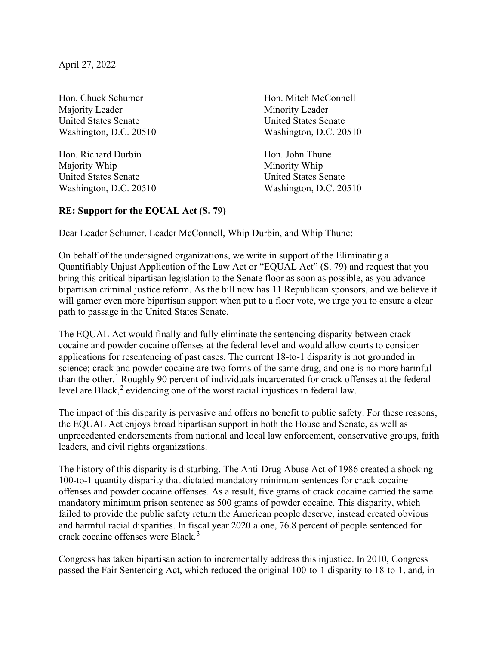April 27, 2022

Hon. Chuck Schumer Hon. Mitch McConnell Majority Leader Minority Leader United States Senate United States Senate

Hon. Richard Durbin Hon. John Thune Majority Whip Minority Whip United States Senate United States Senate

Washington, D.C. 20510 Washington, D.C. 20510

Washington, D.C. 20510 Washington, D.C. 20510

## **RE: Support for the EQUAL Act (S. 79)**

Dear Leader Schumer, Leader McConnell, Whip Durbin, and Whip Thune:

On behalf of the undersigned organizations, we write in support of the Eliminating a Quantifiably Unjust Application of the Law Act or "EQUAL Act" (S. 79) and request that you bring this critical bipartisan legislation to the Senate floor as soon as possible, as you advance bipartisan criminal justice reform. As the bill now has 11 Republican sponsors, and we believe it will garner even more bipartisan support when put to a floor vote, we urge you to ensure a clear path to passage in the United States Senate.

The EQUAL Act would finally and fully eliminate the sentencing disparity between crack cocaine and powder cocaine offenses at the federal level and would allow courts to consider applications for resentencing of past cases. The current 18-to-1 disparity is not grounded in science; crack and powder cocaine are two forms of the same drug, and one is no more harmful than the other. <sup>1</sup> Roughly 90 percent of individuals incarcerated for crack offenses at the federal level are Black,<sup>2</sup> evidencing one of the worst racial injustices in federal law.

The impact of this disparity is pervasive and offers no benefit to public safety. For these reasons, the EQUAL Act enjoys broad bipartisan support in both the House and Senate, as well as unprecedented endorsements from national and local law enforcement, conservative groups, faith leaders, and civil rights organizations.

The history of this disparity is disturbing. The Anti-Drug Abuse Act of 1986 created a shocking 100-to-1 quantity disparity that dictated mandatory minimum sentences for crack cocaine offenses and powder cocaine offenses. As a result, five grams of crack cocaine carried the same mandatory minimum prison sentence as 500 grams of powder cocaine. This disparity, which failed to provide the public safety return the American people deserve, instead created obvious and harmful racial disparities. In fiscal year 2020 alone, 76.8 percent of people sentenced for crack cocaine offenses were Black. 3

Congress has taken bipartisan action to incrementally address this injustice. In 2010, Congress passed the Fair Sentencing Act, which reduced the original 100-to-1 disparity to 18-to-1, and, in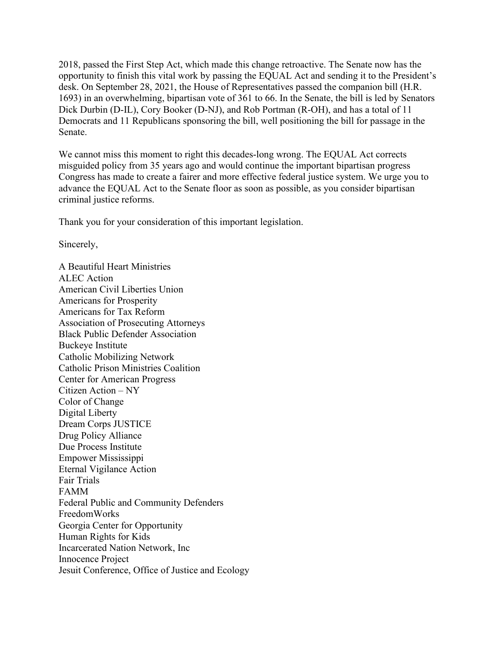2018, passed the First Step Act, which made this change retroactive. The Senate now has the opportunity to finish this vital work by passing the EQUAL Act and sending it to the President's desk. On September 28, 2021, the House of Representatives passed the companion bill (H.R. 1693) in an overwhelming, bipartisan vote of 361 to 66. In the Senate, the bill is led by Senators Dick Durbin (D-IL), Cory Booker (D-NJ), and Rob Portman (R-OH), and has a total of 11 Democrats and 11 Republicans sponsoring the bill, well positioning the bill for passage in the Senate.

We cannot miss this moment to right this decades-long wrong. The EQUAL Act corrects misguided policy from 35 years ago and would continue the important bipartisan progress Congress has made to create a fairer and more effective federal justice system. We urge you to advance the EQUAL Act to the Senate floor as soon as possible, as you consider bipartisan criminal justice reforms.

Thank you for your consideration of this important legislation.

Sincerely,

A Beautiful Heart Ministries ALEC Action American Civil Liberties Union Americans for Prosperity Americans for Tax Reform Association of Prosecuting Attorneys Black Public Defender Association Buckeye Institute Catholic Mobilizing Network Catholic Prison Ministries Coalition Center for American Progress Citizen Action – NY Color of Change Digital Liberty Dream Corps JUSTICE Drug Policy Alliance Due Process Institute Empower Mississippi Eternal Vigilance Action Fair Trials FAMM Federal Public and Community Defenders FreedomWorks Georgia Center for Opportunity Human Rights for Kids Incarcerated Nation Network, Inc Innocence Project Jesuit Conference, Office of Justice and Ecology